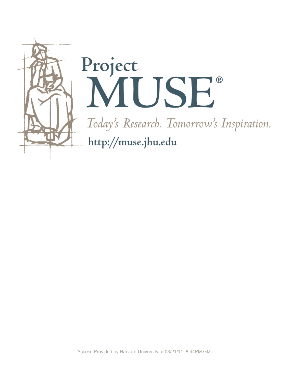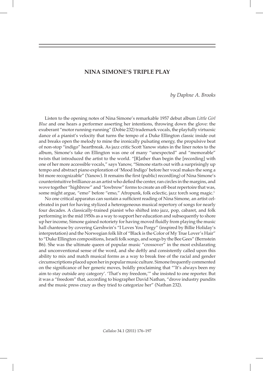### **NINA SIMONE'S TRIPLE PLAY**

### *by Daphne A. Brooks*

Listen to the opening notes of Nina Simone's remarkable 1957 debut album *Little Girl Blue* and one hears a performer asserting her intentions, throwing down the glove: the exuberant "motor running-running" (Dobie 232) trademark vocals, the playfully virtuosic dance of a pianist's velocity that turns the tempo of a Duke Ellington classic inside out and breaks open the melody to mine the ironically pulsating energy, the propulsive beat of non-stop "indigo" heartbreak. As jazz critic Scott Yanow states in the liner notes to the album, Simone's take on Ellington was one of many "unexpected" and "memorable" twists that introduced the artist to the world. "[R]ather than begin the [recording] with one of her more accessible vocals," says Yanow, "Simone starts out with a surprisingly up tempo and abstract piano exploration of 'Mood Indigo' before her vocal makes the song a bit more recognizable" (Yanow). It remains the first (public) record(ing) of Nina Simone's counterintuitive brilliance as an artist who defied the center, ran circles in the margins, and wove together "highbrow" and "lowbrow" forms to create an off-beat repertoire that was, some might argue, "emo" before "emo," Afropunk, folk eclectic, jazz torch song magic.1

No one critical apparatus can sustain a sufficient reading of Nina Simone, an artist celebrated in part for having stylized a heterogeneous musical repertory of songs for nearly four decades. A classically-trained pianist who shifted into jazz, pop, cabaret, and folk performing in the mid 1950s as a way to support her education and subsequently to shore up her income, Simone gained notoriety for having moved fluidly from playing the music hall chanteuse by covering Gershwin's "I Loves You Porgy" (inspired by Billie Holiday's interpretation) and the Norwegian folk lilt of "Black is the Color of My True Lover's Hair" to "Duke Ellington compositions, Israeli folk songs, and songs by the Bee Gees" (Bernstein B6). She was the ultimate queen of popular music "crossover" in the most exhilarating and unconventional sense of the word, and she deftly and consistently called upon this ability to mix and match musical forms as a way to break free of the racial and gender circumscriptions placed upon her in popular music culture. Simone frequently commented on the significance of her generic moves, boldly proclaiming that "It's always been my aim to stay outside any category'. 'That's my freedom,'" she insisted to one reporter. But it was a "freedom" that, according to biographer David Nathan, "drove industry pundits and the music press crazy as they tried to categorize her" (Nathan 232).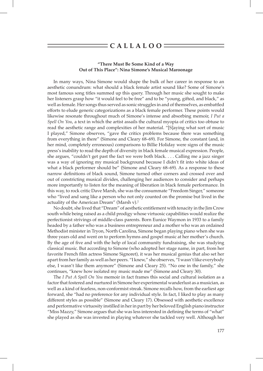### **"There Must Be Some Kind of a Way Out of This Place": Nina Simone's Musical Maroonage**

In many ways, Nina Simone would shape the bulk of her career in response to an aesthetic conundrum: what should a black female artist sound like? Some of Simone's most famous song titles summed up this query. Through her music she sought to make her listeners grasp how "it would feel to be free" and to be "young, gifted, and black," as well as female. Her songs thus served as sonic struggles in and of themselves, as embattled efforts to elude generic categorizations as a black female performer. These points would likewise resonate throughout much of Simone's intense and absorbing memoir, *I Put a Spell On You*, a text in which the artist assails the cultural myopia of critics too obtuse to read the aesthetic range and complexities of her material. "[S]aying what sort of music I played," Simone observes, "gave the critics problems because there was something from everything in there" (Simone and Cleary 68–69). For Simone, the constant (and, in her mind, completely erroneous) comparisons to Billie Holiday were signs of the music press's inability to read the depth of diversity in black female musical expression. People, she argues, "couldn't get past the fact we were both black. . . . Calling me a jazz singer was a way of ignoring my musical background because I didn't fit into white ideas of what a black performer should be" (Simone and Cleary 68–69). As a response to these narrow definitions of black sound, Simone turned other corners and crossed over and out of constricting musical divides, challenging her audiences to consider and perhaps more importantly to listen for the meaning of liberation in black female performance. In this way, to rock critic Dave Marsh, she was the consummate "Freedom Singer," someone who "lived and sang like a person who not only counted on the promise but lived in the actuality of the American Dream" (Marsh v).2

No doubt, she lived that "Dream" of aesthetic entitlement with tenacity in the Jim Crow south while being raised as a child prodigy whose virtuosic capabilities would realize the perfectionist strivings of middle-class parents. Born Eunice Waymon in 1933 to a family headed by a father who was a business entrepreneur and a mother who was an ordained Methodist minister in Tryon, North Carolina, Simone began playing piano when she was three years old and went on to perform hymns and gospel music at her mother's church. By the age of five and with the help of local community fundraising, she was studying classical music. But according to Simone (who adopted her stage name, in part, from her favorite French film actress Simone Signoret), it was her musical genius that also set her apart from her family as well as her peers. "I knew," she observes, "I wasn't like everybody else, I wasn't like them anymore" (Simone and Cleary 25). "No one in the family," she continues, "knew how isolated my music made me" (Simone and Cleary 30).

The *I Put A Spell On You* memoir in fact frames this social and cultural isolation as a factor that fostered and nurtured in Simone her experimental wanderlust as a musician, as well as a kind of fearless, non-conformist streak. Simone recalls how, from the earliest age forward, she "had no preference for any individual style. In fact, I liked to play as many different styles as possible" (Simone and Cleary 17). Obsessed with aesthetic excellence and performative virtuosity instilled in her in part by her beloved English piano instructor "Miss Mazzy," Simone argues that she was less interested in defining the terms of "what" she played as she was invested in playing whatever she tackled very well. Although her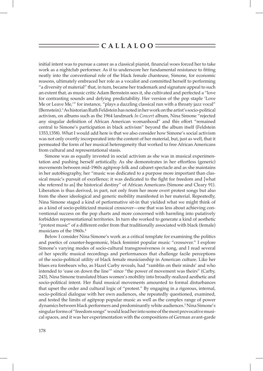initial intent was to pursue a career as a classical pianist, financial woes forced her to take work as a nightclub performer. As if to underscore her fundamental resistance to fitting neatly into the conventional role of the black female chanteuse, Simone, for economic reasons, ultimately embraced her role as a vocalist and committed herself to performing "a diversity of material" that, in turn, became her trademark and signature appeal to such an extent that, as music critic Adam Bernstein sees it, she cultivated and perfected a "love for contrasting sounds and defying predictability. Her version of the pop staple 'Love Me or Leave Me,'" for instance, "plays a dazzling classical run with a throaty jazz vocal" (Bernstein).3 As historian Ruth Feldstein has noted in her work on the artist's socio-political activism, on albums such as the 1964 landmark *In Concert* album, Nina Simone "rejected any singular definition of African American womanhood" and this effort "remained central to Simone's participation in black activism" beyond the album itself (Feldstein 1353,1358). What I would add here is that we also consider how Simone's social activism was not only overtly incorporated into the content of her material, but, just as well, that it permeated the form of her musical heterogeneity that worked to free African Americans from cultural and representational stasis.

Simone was as equally invested in social activism as she was in musical experimentation and pushing herself artistically. As she demonstrates in her effortless (generic) movements between mid-1960s agitprop folk and cabaret spectacle and as she maintains in her autobiography, her "music was dedicated to a purpose more important than classical music's pursuit of excellence; it was dedicated to the fight for freedom and [what she referred to as] the historical destiny" of African Americans (Simone and Cleary 91). Liberation is thus derived, in part, not only from her more overt protest songs but also from the sheer ideological and generic mobility manifested in her material. Repeatedly, Nina Simone staged a kind of performative sit-in that yielded what we might think of as a kind of socio-politicized musical crossover—one that was less about achieving conventional success on the pop charts and more concerned with barreling into putatively forbidden representational territories. In turn she worked to generate a kind of aesthetic "protest music" of a different order from that traditionally associated with black (female) musicians of the 1960s.<sup>4</sup>

Below I consider Nina Simone's work as a critical template for examining the politics and poetics of counter-hegemonic, black feminist popular music "crossover." I explore Simone's varying modes of socio-cultural transgressiveness *in* song, and I read several of her specific musical recordings and performances that challenge facile perceptions of the socio-political utility of black female musicianship in American culture. Like her blues era forebears who, as Hazel Carby reveals, had "ramblin on their minds' and who intended to 'ease on down the line'" since "the power of movement was theirs" (Carby, 243), Nina Simone translated blues women's mobility into broadly-realized aesthetic and socio-political intent. Her fluid musical movements amounted to formal disturbances that upset the order and cultural logic of "protest." By engaging in a rigorous, internal, socio-political dialogue with her own audiences, she repeatedly questioned, examined, and tested the limits of agitprop popular music as well as the complex range of power dynamics between black performers and predominantly white audiences.<sup>5</sup> Nina Simone's singular forms of "freedom songs" would lead her into some of the most provocative musical spaces, and it was her experimentation with the compositions of German avant-garde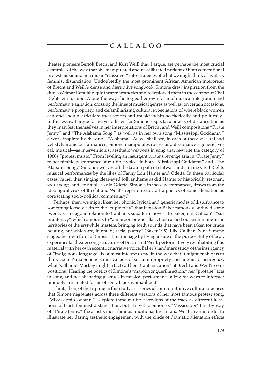theater pioneers Bertolt Brecht and Kurt Weill that, I argue, are perhaps the most crucial examples of the way that she manipulated and re-calibrated notions of both conventional protest music and pop music "crossover" into strategies of what we might think of as black feminist distanciation. Undoubtedly the most prominent African American interpreter of Brecht and Weill's dense and disruptive songbook, Simone drew inspiration from the duo's Weimar Republic epic theater aesthetics and redeployed them in the context of Civil Rights era turmoil. Along the way she forged her own form of musical integration and performative agitation, crossing the lines of musical genres as well as, on certain occasions, performative propriety, and defamiliarizing cultural expectations of where black women can and should articulate their voices and musicianship aesthetically and politically.<sup>6</sup> In this essay, I argue for ways to listen for Simone's spectacular acts of distanciation as they manifest themselves in her interpretations of Brecht and Weill compositions "Pirate Jenny" and "The Alabama Song," as well as in her own song "Mississippi Goddamn," a work inspired by the duo's "Alabama." As we shall see, in each of these visceral and yet slyly ironic performances, Simone manipulates excess and dissonance—generic, vocal, musical—as interventionist aesthetic weapons in song that re-write the category of 1960s "protest music." From leveling an insurgent pirate's revenge aria in "Pirate Jenny" to her nimble performance of multiple voices in both "Mississippi Goddamn" and "The Alabama Song," Simone swerves off the beaten path of stalwart and stirring Civil Rights musical performances by the likes of Fanny Lou Hamer and Odetta. In these particular cases, rather than singing clear-eyed folk anthems as did Hamer or historically resonant work songs and spirituals as did Odetta, Simone, in these performances, draws from the ideological crux of Brecht and Weill's repertoire to craft a poetics of sonic alienation as coruscating socio-political commentary.7

Perhaps, then, we might liken her phonic, lyrical, and generic modes of disturbance to something loosely akin to the "triple play" that Houston Baker famously outlined some twenty years ago in relation to Caliban's subaltern moves. To Baker, it is Caliban's "supraliteracy" which amounts to "a maroon or guerilla action carried out within linguistic territories of the erstwhile masters, bringing forth sounds that have been taken for crude hooting, but which are, in reality, racial poetry" (Baker 195). Like Caliban, Nina Simone staged her own form of (musical) maroonage by living inside of the purposefully offbeat, experimental theater song structures of Brecht and Weill, performatively re-inhabiting this material with her own eccentric narrative voice. Baker's landmark study of the insurgency of "indigenous language" is of most interest to me in the way that it might enable us to think about Nina Simone's musical acts of social impropriety and linguistic insurgency, what Nathaniel Mackey might in fact call her "Calibanization" of Brecht and Weill's compositions.<sup>8</sup> Hearing the poetics of Simone's "maroon or guerilla action," her "profane" acts in song, and her alienating gestures in musical performance allow for ways to interpret uniquely articulated forms of sonic black womanhood.

Think, then, of the tripling in this study as a series of counterintuitive cultural practices that Simone negotiates across three different versions of her most famous protest song, "Mississippi Godamn." I explore these multiple versions of the track as different iterations of black feminist distanciation, but I travel to Simone's "Mississippi" first by way of "Pirate Jenny," the artist's most famous traditional Brecht and Weill cover in order to illustrate her daring aesthetic engagement with the kinds of dramatic alienation effects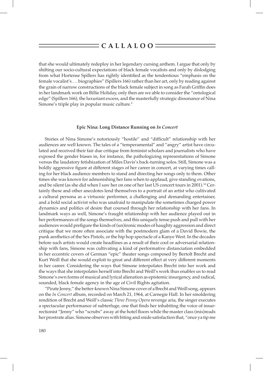that she would ultimately redeploy in her legendary cursing anthem. I argue that only by shifting our socio-cultural expectations of black female vocalists and only by dislodging from what Hortense Spillers has rightly identified as the tendentious "emphasis on the female vocalist's . . . biographies" (Spillers 166) rather than her art, only by reading against the grain of narrow constructions of the black female subject in song as Farah Griffin does in her landmark work on Billie Holiday, only then are we able to consider the "ontological edge" (Spillers 166), the luxuriant excess, and the masterfully strategic dissonance of Nina Simone's triple play in popular music culture.<sup>9</sup>

#### **Epic Nina: Long Distance Running on** *In Concert*

Stories of Nina Simone's notoriously "hostile" and "difficult" relationship with her audiences are well known. The tales of a "temperamental" and "angry" artist have circulated and received their fair due critique from feminist scholars and journalists who have exposed the gender biases in, for instance, the pathologizing representations of Simone versus the laudatory fetishization of Miles Davis's back-turning solos. Still, Simone was a boldly aggressive figure at different stages of her career in concert, at varying times calling for her black audience members to stand and directing her songs only to them. Other times she was known for admonishing her fans when to applaud, give standing ovations, and be silent (as she did when I saw her on one of her last US concert tours in 2001).10 Certainly these and other anecdotes lend themselves to a portrait of an artist who cultivated a cultural persona as a virtuosic performer, a challenging and demanding entertainer, and a bold social activist who was unafraid to manipulate the sometimes charged power dynamics and politics of desire that coursed through her relationship with her fans. In landmark ways as well, Simone's fraught relationship with her audience played out in her performances of the songs themselves, and this uniquely tense push and pull with her audiences would prefigure the kinds of (un)ironic modes of haughty aggression and direct critique that we more often associate with the postmodern glam of a David Bowie, the punk aesthetics of the Sex Pistols, or the hip hop spectacle of a Kanye West. In the decades before such artists would create headlines as a result of their cool or adversarial relationship with fans, Simone was cultivating a kind of performative distanciation embedded in her eccentric covers of German "epic" theater songs composed by Bertolt Brecht and Kurt Weill that she would exploit to great and different effect at very different moments in her career. Considering the ways that Simone interpolates Brecht into her work and the ways that she interpolates herself into Brecht and Weill's work thus enables us to read Simone's own forms of musical and lyrical alienation as epistemic insurgency, and radical, sounded, black female agency in the age of Civil Rights agitation.

"Pirate Jenny," the better-known Nina Simone cover of a Brecht and Weill song, appears on the *In Concert* album, recorded on March 21, 1964, at Carnegie Hall. In her smoldering rendition of Brecht and Weill's classic *Three Penny Opera* revenge aria, the singer executes a spectacular performance of subterfuge, one that finds her inhabiting the voice of insurrectionist "Jenny" who "scrubs" away at the hotel floors while the master class (mis)reads her prostrate alias. Simone observes with biting and snide satisfaction that, "once ya tip me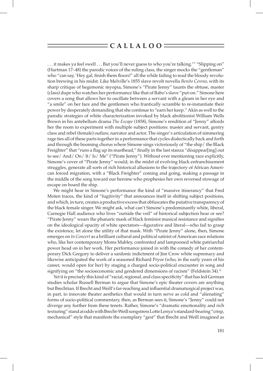. . . it makes ya feel swell . . . But you'll never guess to who you're talking.'" "Slipping on" (Hartman 17–48) the parodic voices of the ruling class, the singer mocks the "gentleman" who "can say, 'Hey gal, finish them floors!" all the while failing to read the bloody revolution brewing in his midst. Like Melville's 1855 slave revolt novella *Benito Cereno*, with its sharp critique of hegemonic myopia, Simone's "Pirate Jenny" taunts the obtuse, master (class) dupe who watches her performance like that of Babo's slave "put-on." Simone here covers a song that allows her to oscillate between a servant with a gleam in her eye and "a smile" on her face and the gentlemen who frantically scramble to re-instantiate their power by desperately demanding that she continue to "earn her keep." Akin as well to the parodic strategies of white characterization invoked by black abolitionist William Wells Brown in his antebellum drama *The Escape* (1858), Simone's rendition of "Jenny" affords her the room to experiment with multiple subject positions: master and servant, gentry class and rebel (female) outlaw, narrator and actor. The singer's articulation of simmering rage ties all of these parts together in a performance that cycles dialectically back and forth and through the booming chorus where Simone sings victoriously of "the ship/ the Black Freighter" that "runs a flag up its masthead," finally in the last stanza "disappear[ing] out to see/ And/ On/ It/ Is/ Me" ("Pirate Jenny"). Without ever mentioning race explicitly, Simone's cover of "Pirate Jenny" would, in the midst of evolving black enfranchisement struggles, generate all sorts of rich historical allusions to the trajectory of African American forced migration, with a "Black Freighter" coming and going, making a passage in the middle of the song toward our heroine who prophesies her own reversed stowage of escape on board the ship.

We might hear in Simone's performance the kind of "massive itinerancy" that Fred Moten traces, the kind of "fugitivity" that announces itself in shifting subject positions, and which, in turn, creates a productive excess that obfuscates the putative transparency of the black female singer. We might ask, what can't Simone's predominantly white, liberal, Carnegie Hall audience who lives "outside the veil" of historical subjection hear or see? "Pirate Jenny" wears the phanaric mask of black feminist musical resistance and signifies on the ideological opacity of white spectators—figurative and literal—who fail to grasp the existence, let alone the utility of that mask. With "Pirate Jenny" alone, then, Simone emerges on *In Concert* as a brilliant cultural and political satirist of American race relations who, like her contemporary Moms Mabley, confronted and lampooned white patriarchal power head on in her work. Her performance joined in with the comedy of her contemporary Dick Gregory to deliver a sardonic indictment of Jim Crow white supremacy and likewise anticipated the work of a seasoned Richard Pryor (who, in the early years of his career, would open for her) by staging a charged socio-political encounter in song and signifying on "the socioeconomic and gendered dimensions of racism" (Feldstein 34).<sup>11</sup>

Yet it is precisely this kind of "racial, regional, and class specificity" that has led German studies scholar Russell Berman to argue that Simone's epic theater covers are anything but Brechtian. If Brecht and Weill's far-reaching and influential dramaturgical project was, in part, to innovate theater aesthetics that would in turn serve as cold and "alienating" forms of socio-political commentary, then, as Berman sees it, Simone's "Jenny" could not diverge any further from these tenets. Rather, Simone's "dramatic emotionality and rich texturing" stand at odds with Brecht-Weill songstress Lotte Lenya's standard-bearing "crisp, mechanical" style that manifests the exemplary "gest" that Brecht and Weill imagined as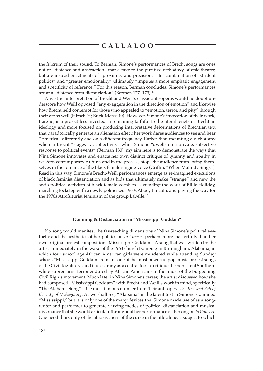the fulcrum of their sound. To Berman, Simone's performances of Brecht songs are ones not of "distance and abstraction" that cleave to the putative orthodoxy of epic theater, but are instead enactments of "proximity and precision." Her combination of "strident politics" and "greater emotionality" ultimately "imputes a more emphatic engagement and specificity of reference." For this reason, Berman concludes, Simone's performances are at a "distance from distanciation" (Berman 177-179).<sup>12</sup>

Any strict interpretation of Brecht and Weill's classic anti-operas would no doubt underscore how Weill opposed "any exaggeration in the direction of emotion" and likewise how Brecht held contempt for those who appealed to "emotion, terror, and pity" through their art as well (Hirsch 94; Buck-Morss 40). However, Simone's invocation of their work, I argue, is a project less invested in remaining faithful to the literal tenets of Brechtian ideology and more focused on producing interpretative deformations of Brechtian text that paradoxically generate an alienation effect; her work dares audiences to see and hear "America" differently and on a different frequency. Rather than mounting a dichotomy wherein Brecht "stages . . . collectivity" while Simone "dwells on a private, subjective response to political events" (Berman 180), my aim here is to demonstrate the ways that Nina Simone innovates and enacts her own distinct critique of tyranny and apathy in western contemporary culture, and in the process, stops the audience from losing themselves in the romance of the black female singing voice (Griffin, "When Malindy Sings"). Read in this way, Simone's Brecht-Weill performances emerge as re-imagined executions of black feminist distanciation and as bids that ultimately make "strange" and new the socio-political activism of black female vocalists—extending the work of Billie Holiday, marching lockstep with a newly politicized 1960s Abbey Lincoln, and paving the way for the 1970s Afrofuturist feminism of the group Labelle.<sup>13</sup>

### **Damning & Distanciation in "Mississippi Goddam"**

No song would manifest the far-reaching dimensions of Nina Simone's political aesthetic and the aesthetics of her politics on *In Concert* perhaps more masterfully than her own original protest composition "Mississippi Goddam." A song that was written by the artist immediately in the wake of the 1963 church bombing in Birmingham, Alabama, in which four school age African American girls were murdered while attending Sunday school, "Mississippi Goddam" remains one of the most powerful pop music protest songs of the Civil Rights era, and it uses irony as a central tool to critique the persistent Southern white supremacist terror endured by African Americans in the midst of the burgeoning Civil Rights movement. Much later in Nina Simone's career, the artist discussed how she had composed "Mississippi Goddam" with Brecht and Weill's work in mind, specifically "The Alabama Song"—the most famous number from their anti-opera *The Rise and Fall of the City of Mahagonny*. As we shall see, "Alabama" is the latent text in Simone's damned "Mississippi," but it is only one of the many devices that Simone made use of as a songwriter and performer to generate varying modes of political distanciation and musical dissonance that she would articulate throughout her performance of the song on *In Concert*. One need think only of the abrasiveness of the curse in the title alone, a subject to which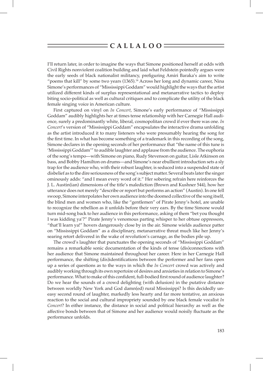I'll return later, in order to imagine the ways that Simone positioned herself at odds with Civil Rights nonviolent coalition building and laid what Feldstein pointedly argues were the early seeds of black nationalist militancy, prefiguring Amiri Baraka's aim to write "poems that kill" by some two years  $(1365)$ .<sup>14</sup> Across her long and dynamic career, Nina Simone's performances of "Mississippi Goddam" would highlight the ways that the artist utilized different kinds of surplus representational and metanarrative tactics to deploy biting socio-political as well as cultural critiques and to complicate the utility of the black female singing voice in American culture.

First captured on vinyl on *In Concert*, Simone's early performance of "Mississippi Goddam" audibly highlights her at times tense relationship with her Carnegie Hall audience, surely a predominantly white, liberal, cosmopolitan crowd if ever there was one. *In Concert*'s version of "Mississippi Goddam" encapsulates the interactive drama unfolding as the artist introduced it to many listeners who were presumably hearing the song for the first time. In what has become something of a trademark in this recording of the song, Simone declares in the opening seconds of her performance that "the name of this tune is 'Mississippi Goddam'" to audible laughter and applause from the audience. The euphoria of the song's tempo—with Simone on piano, Rudy Stevenson on guitar, Lisle Atkinson on bass, and Bobby Hamilton on drums—and Simone's near ebullient introduction sets a sly trap for the audience who, with their robust laughter, is seduced into a suspended state of disbelief as to the dire seriousness of the song's subject matter. Several beats later the singer ominously adds: "and I mean every word of it." Her sobering refrain here reinforces the J. L. Austin(ian) dimensions of the title's malediction (Brown and Kushner 544), how her utterance does not merely "describe or report but performs an action" (Austin). In one fell swoop, Simone interpolates her own audience into the doomed collective of the song itself, the blind men and women who, like the "gentlemen" of Pirate Jenny's hotel, are unable to recognize the rebellion as it unfolds before their very ears. By the time Simone would turn mid-song back to her audience in this performance, asking of them "bet you thought I was kidding ya'?" Pirate Jenny's venomous parting whisper to her obtuse oppressors, "that'll learn ya!" hovers dangerously close by in the air. Simone wields audience patter on "Mississippi Goddam" as a disciplinary, metanarrative threat much like her Jenny's searing retort delivered in the wake of revolution's carnage, as the bodies pile up.

The crowd's laughter that punctuates the opening seconds of "Mississippi Goddam" remains a remarkable sonic documentation of the kinds of tense (dis)connections with her audience that Simone maintained throughout her career. Here in her Carnegie Hall performance, the shifting (dis)identifications between the performer and her fans open up a series of questions as to the ways in which the *In Concert* crowd was actively and audibly working through its own repertoire of desires and anxieties in relation to Simone's performance. What to make of this confident, full-bodied first round of audience laughter? Do we hear the sounds of a crowd delighting (with delusion) in the putative distance between worldly New York and God damn(ed) rural Mississippi? Is this decidedly uneasy second round of laughter, markedly less hearty and far more tentative, an anxious reaction to the social and cultural impropriety sounded by one black female vocalist *In Concert*? In either instance, the distance in social and political hierarchy as well as the affective bonds between that of Simone and her audience would noisily fluctuate as the performance unfolds.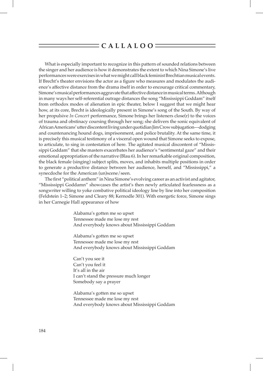What is especially important to recognize in this pattern of sounded relations between the singer and her audience is how it demonstrates the extent to which Nina Simone's live performances were exercises in what we might call black feminist Brechtian musical events. If Brecht's theater envisions the actor as a figure who measures and modulates the audience's affective distance from the drama itself in order to encourage critical commentary, Simone's musical performances aggravate that affective distance in musical terms. Although in many ways her self-referential outrage distances the song "Mississippi Goddam" itself from orthodox modes of alienation in epic theater, below I suggest that we might hear how, at its core, Brecht is ideologically present in Simone's song of the South. By way of her propulsive *In Concert* performance, Simone brings her listeners close(r) to the voices of trauma and obstinacy coursing through her song; she delivers the sonic equivalent of African Americans' utter discontent living under quotidian Jim Crow subjugation—dodging and countenancing hound dogs, imprisonment, and police brutality. At the same time, it is precisely this musical testimony of a visceral open wound that Simone seeks to expose, to articulate, to sing in contestation of here. The agitated musical discontent of "Mississippi Goddam" that she masters exacerbates her audience's "sentimental gaze" and their emotional appropriation of the narrative (Blau 6). In her remarkable original composition, the black female (singing) subject splits, moves, and inhabits multiple positions in order to generate a productive distance between her audience, herself, and "Mississippi," a synecdoche for the American (un)scene/seen.

The first "political anthem" in Nina Simone's evolving career as an activist and agitator, "Mississippi Goddamn" showcases the artist's then newly articulated fearlessness as a songwriter willing to yoke combative political ideology line by line into her composition (Feldstein 1–2; Simone and Cleary 88; Kernodle 301). With energetic force, Simone sings in her Carnegie Hall appearance of how

> Alabama's gotten me so upset Tennessee made me lose my rest And everybody knows about Mississippi Goddam

> Alabama's gotten me so upset Tennessee made me lose my rest And everybody knows about Mississippi Goddam

Can't you see it Can't you feel it It's all in the air I can't stand the pressure much longer Somebody say a prayer

Alabama's gotten me so upset Tennessee made me lose my rest And everybody knows about Mississippi Goddam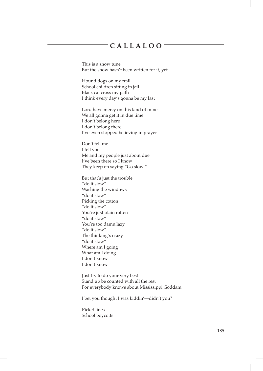This is a show tune But the show hasn't been written for it, yet

Hound dogs on my trail School children sitting in jail Black cat cross my path I think every day's gonna be my last

Lord have mercy on this land of mine We all gonna get it in due time I don't belong here I don't belong there I've even stopped believing in prayer

Don't tell me I tell you Me and my people just about due I've been there so I know They keep on saying "Go slow!"

But that's just the trouble "do it slow" Washing the windows "do it slow" Picking the cotton "do it slow" You're just plain rotten "do it slow" You're too damn lazy "do it slow" The thinking's crazy "do it slow" Where am I going What am I doing I don't know I don't know

Just try to do your very best Stand up be counted with all the rest For everybody knows about Mississippi Goddam

I bet you thought I was kiddin'—didn't you?

Picket lines School boycotts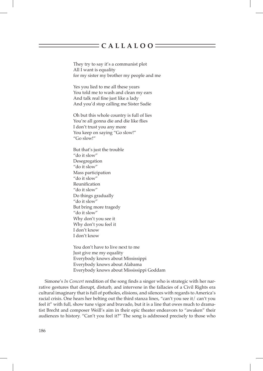They try to say it's a communist plot All I want is equality for my sister my brother my people and me

Yes you lied to me all these years You told me to wash and clean my ears And talk real fine just like a lady And you'd stop calling me Sister Sadie

Oh but this whole country is full of lies You're all gonna die and die like flies I don't trust you any more You keep on saying "Go slow!" "Go slow!"

But that's just the trouble "do it slow" Desegregation "do it slow" Mass participation "do it slow" Reunification "do it slow" Do things gradually "do it slow" But bring more tragedy "do it slow" Why don't you see it Why don't you feel it I don't know I don't know

You don't have to live next to me Just give me my equality Everybody knows about Mississippi Everybody knows about Alabama Everybody knows about Mississippi Goddam

Simone's *In Concert* rendition of the song finds a singer who is strategic with her narrative gestures that disrupt, disturb, and intervene in the fallacies of a Civil Rights era cultural imaginary that is full of potholes, elisions, and silences with regards to America's racial crisis. One hears her belting out the third stanza lines, "can't you see it/ can't you feel it" with full, show tune vigor and bravado, but it is a line that owes much to dramatist Brecht and composer Weill's aim in their epic theater endeavors to "awaken" their audiences to history. "Can't you feel it?" The song is addressed precisely to those who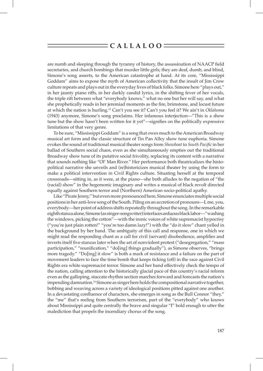are numb and sleeping through the tyranny of history, the assassination of NAACP field secretaries, and church bombings that murder little girls; they are deaf, dumb, and blind, Simone's song asserts, to the American catastrophe at hand. At its core, "Mississippi Goddam" aims to expose the myth of American collectivity that the insult of Jim Crow culture repeats and plays out in the everyday lives of black folks. Simone here "plays out," in her jaunty piano riffs, in her darkly candid lyrics, in the shifting fever of her vocals, the triple rift between what "everybody knows," what no one but her will say, and what she prophetically reads in her jeremiad moments as the fire, brimstone, and locust future at which the nation is hurling.15 Can't you see it? Can't you feel it? We ain't in *Oklahoma* (1943) anymore, Simone's song proclaims. Her infamous interjection—"This is a show tune but the show hasn't been written for it yet"—signifies on the politically expressive limitations of that very genre.

To be sure, "Mississippi Goddam" is a song that owes much to the American Broadway musical art form and the classic structure of Tin Pan Alley show tune euphoria. Simone evokes the sound of traditional musical theater songs from *Showboat* to *South Pacific* in her ballad of Southern social chaos, even as she simultaneously empties out the traditional Broadway show tune of its putative social frivolity, replacing its content with a narrative that sounds nothing like "Ol' Man River." Her performance both theatricalizes the histopolitical narrative she unveils and (re)historicizes musical theater by using the form to make a political intervention in Civil Rights culture. Situating herself at the temporal crossroads—sitting in, as it were, at the piano—she both alludes to the negation of "the (racial) show" in the hegemonic imaginary and writes a musical of black revolt directed equally against Southern terror and (Northern) American socio-political apathy.

Like "Pirate Jenny," but even more pronounced here, Simone enunciates multiple social positions in her anti-love song of the South. Piling on an accretion of pronouns—I, me, you, everybody—her point of address shifts repeatedly throughout the song. In the remarkable eighth stanza alone, Simone (as singer-songwriter) interfaces arduous black labor—"washing the windows, picking the cotton"—with the ironic voices of white supremacist hypocrisy ("you're just plain rotten!" "you're too damn lazy!") with the "do it slow" chant yelled in the background by her band. The ambiguity of this call and response, one in which we might read the responding chant as a call for civil (servant) disobedience, amplifies and inverts itself five stanzas later when the art of nonviolent protest ("desegregation," "mass participation," "reunification," "do[ing] things gradually"), as Simone observes, "brings more tragedy." "Do[ing] it slow" is both a mark of resistance and a failure on the part of movement leaders to face the time bomb that keeps ticking (off) in the race against Civil Rights era white supremacist terror. Simone and her band effectively check the tempo of the nation, calling attention to the historically glacial pace of this country's racial reform even as the galloping, staccato rhythm section marches forward and forecasts the nation's impending damnation.<sup>16</sup> Simone as singer here holds the compositional narrative together, bobbing and weaving across a variety of ideological positions pitted against one another. In a devastating confluence of characters, she emerges in song as the Bull Connor "they," the "me" that's reeling from Southern terrorism, part of the "everybody" who knows about Mississippi and quite centrally the brave and singular "I" bold enough to utter the malediction that propels the incendiary chorus of the song.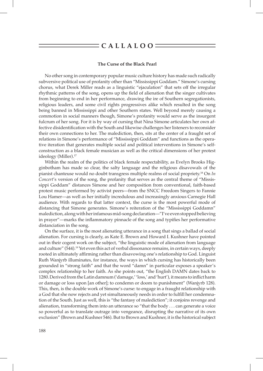#### **The Curse of the Black Pearl**

No other song in contemporary popular music culture history has made such radically subversive political use of profanity other than "Mississippi Goddam." Simone's cursing chorus, what Derek Miller reads as a linguistic "ejaculation" that sets off the irregular rhythmic patterns of the song, opens up the field of alienation that the singer cultivates from beginning to end in her performance, drawing the ire of Southern segregationists, religious leaders, and some civil rights progressives alike which resulted in the song being banned in Mississippi and other Southern states. Well beyond merely causing a commotion in social manners though, Simone's profanity would serve as the insurgent fulcrum of her song. For it is by way of cursing that Nina Simone articulates her own affective disidentification with the South and likewise challenges her listeners to reconsider their own connections to her. The malediction, then, sits at the center of a fraught set of relations in Simone's performance of "Mississippi Goddam" and functions as the operative iteration that generates multiple social and political interventions in Simone's selfconstruction as a black female musician as well as the critical dimensions of her protest ideology (Miller).17

Within the realm of the politics of black female respectability, as Evelyn Brooks Higginbotham has made so clear, the salty language and the religious disavowals of the pianist chanteuse would no doubt transgress multiple realms of social propriety.18 On *In Concert*'s version of the song, the profanity that serves as the central theme of "Mississippi Goddam" distances Simone and her composition from conventional, faith-based protest music performed by activist peers—from the SNCC Freedom Singers to Fannie Lou Hamer—as well as her initially incredulous and increasingly anxious Carnegie Hall audience. With regards to that latter context, the curse is the most powerful mode of distancing that Simone generates. Simone's reiteration of the "Mississippi Goddamn" malediction, along with her infamous mid-song declaration—"I've even stopped believing in prayer"—marks the inflammatory pinnacle of the song and typifies her performative distanciation in the song.

On the surface, it is the most alienating utterance in a song that sings a ballad of social alienation. For cursing is clearly, as Kate E. Brown and Howard I. Kushner have pointed out in their cogent work on the subject, "the linguistic mode of alienation from language and culture" (544).<sup>19</sup> Yet even this act of verbal dissonance remains, in certain ways, deeply rooted in ultimately affirming rather than disavowing one's relationship to God. Linguist Ruth Wanjyrb illuminates, for instance, the ways in which cursing has historically been grounded in "strong faith" and that the word "damn" in particular exposes a speaker's complex relationship to her faith. As she points out, "the English DAMN dates back to 1280. Derived from the Latin damnum ('damage,' 'loss,' and 'hurt'), it means to inflict harm or damage or loss upon [an other]; to condemn or doom to punishment" (Wanjyrb 128). This, then, is the double work of Simone's curse: to engage in a fraught relationship with a God that she now rejects and yet simultaneously needs in order to fulfill her condemnation of the South. Just as well, this is "the fantasy of malediction"; it conjoins revenge and alienation, transforming them into an utterance so "that the body . . . can generate a voice so powerful as to translate outrage into vengeance, disrupting the narrative of its own exclusion" (Brown and Kushner 546). But to Brown and Kushner, it is the historical subject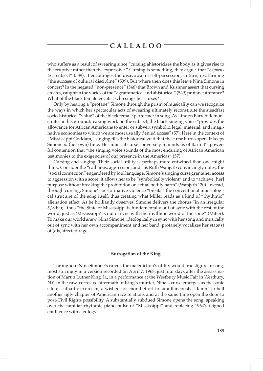who suffers as a result of swearing since "cursing ahistoricizes the body as it gives rise to the eruptive rather than the expressive." Cursing is something, they argue, that "*happens*  to a subject" (539). It encourages the disavowal of self-possession, in turn, re-affirming "the success of cultural discipline" (539). But where then does this leave Nina Simone in concert? In the negated "non-presence" (546) that Brown and Kushner assert that cursing creates, caught in the vortex of the "agrammatical and ahistorical" (549) profane utterance? What of the black female vocalist who sings her curses?

Only by hearing a "profane" Simone through the prism of musicality can we recognize the ways in which her spectacular acts of swearing ultimately reconstitute the steadfast socio-historical "value" of the black female performer in song. As Lindon Barrett demonstrates in his groundbreaking work on the subject, the black singing voice "provides the allowance for African Americans to enter or subvert symbolic, legal, material, and imaginative economies to which we are most usually denied access" (57). Here in the context of "Mississippi Goddam," singing fills the historical void that the curse burns open. It keeps Simone *in* (her own) time. Her musical curse conversely reminds us of Barrett's powerful contention that "the singing voice sounds of the most enduring of African American testimonies to the exigencies of our presence in the Americas" (57).

Cursing and singing. Their social utility is perhaps more entwined than one might think. Consider the "catharsis, aggression, and" as Ruth Wanjyrb convincingly notes, the "social connection" engendered by foul language. Simone's singing curse grants her access to aggression with a score; it allows her to be "symbolically violent" and to "achieve [her] purpose without breaking the prohibition on actual bodily harm" (Wanjyrb 120). Instead, through cursing, Simone's performative violence "breaks" the conventional musicological structure of the song itself, thus creating what Miller reads as a kind of "rhythmic" alienation effect. As he brilliantly observes, Simone delivers the chorus "in an irregular 5/8 bar," thus "the State of Mississippi is fundamentally out of sync with the rest of the world, just as 'Mississippi' is out of sync with the rhythmic world of the song" (Miller). To make our world anew, Nina Simone, ideologically in sync with her song and musically out of sync with her own accompaniment and her band, profanely vocalizes her state(s) of (dis)affected rage.

### **Surrogation of the King**

Throughout Nina Simone's career, the malediction's utility would transfigure in song, most stirringly in a version recorded on April 7, 1968, just four days after the assassination of Martin Luther King, Jr., in a performance at the Westbury Music Fair in Westbury, NY. In the raw, corrosive aftermath of King's murder, Nina's curse emerges as the sonic site of cathartic exorcism, a wished-for choral effort to simultaneously "damn" to hell another ugly chapter of American race relations and at the same time open the door to post-Civil Rights possibility. A substantially subdued Simone opens the song, speaking over the familiar rhythmic piano pulse of "Mississippi" and replacing 1964's feigned ebullience with a eulogy: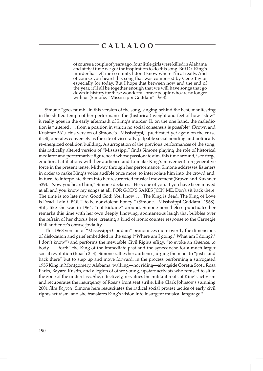of course a couple of years ago, four little girls were killed in Alabama and at that time we got the inspiration to do this song. But Dr. King's murder has left me so numb, I don't know where I'm at really. And of course you heard this song that was composed by Gene Taylor especially for today. But I hope that between now and the end of the year, it'll all be together enough that we will have songs that go down in history for these wonderful, brave people who are no longer with us (Simone, "Mississippi Goddam" 1968).

Simone "goes numb" in this version of the song, singing behind the beat, manifesting in the shifted tempo of her performance the (historical) weight and feel of how "slow" it really goes in the early aftermath of King's murder. If, on the one hand, the malediction is "uttered . . . from a position in which no social consensus is possible" (Brown and Kushner 561), this version of Simone's "Mississippi," predicated yet again on the curse itself, operates conversely as the site of viscerally palpable social bonding and politically re-energized coalition building. A surrogation of the previous performances of the song, this radically altered version of "Mississippi" finds Simone playing the role of historical mediator and performative figurehead whose passionate aim, this time around, is to forge emotional affiliations with her audience and to make King's movement a regenerative force in the present tense. Midway through her performance, Simone addresses listeners in order to make King's voice audible once more, to interpolate him into the crowd and, in turn, to interpolate them into her resurrected musical movement (Brown and Kushner 539). "Now you heard him," Simone declares. "He's one of you. If you have been moved at all and you know my songs at all. FOR GOD'S SAKES JOIN ME. Don't sit back there. The time is too late now. Good God! You know . . . The King is dead. The King of Love is Dead. I ain't 'BOUT to be nonviolent, honey!" (Simone, "Mississippi Goddam" 1968). Still, like she was in 1964, "not kidding" around, Simone nonetheless punctuates her remarks this time with her own deeply knowing, spontaneous laugh that bubbles over the refrain of her chorus here, creating a kind of ironic counter response to the Carnegie Hall audience's obtuse joviality.

This 1968 version of "Mississippi Goddam" pronounces more overtly the dimensions of dislocation and grief embedded in the song ("Where am I going/ What am I doing?/ I don't know") and performs the inevitable Civil Rights effigy, "to evoke an absence, to body . . . forth" the King of the immediate past and the synecdoche for a much larger social revolution (Roach 2–3). Simone rallies her audience, urging them not to "just stand back there" but to step up and move forward, in the process performing a surrogated 1955 King in Montgomery, Alabama, walking—not riding—alongside Coretta Scott, Rosa Parks, Bayard Rustin, and a legion of other young, upstart activists who refused to sit in the zone of the underclass. She, effectively, re-values the militant roots of King's activism and recuperates the insurgency of Rosa's front seat strike. Like Clark Johnson's stunning 2001 film *Boycott*, Simone here resuscitates the radical social protest tactics of early civil rights activism, and she translates King's vision into insurgent musical language.<sup>20</sup>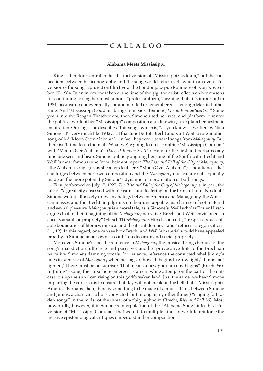#### **Alabama Meets Mississippi**

King is therefore central in this distinct version of "Mississippi Goddam," but the connections between his iconography and the song would return yet again in an even later version of the song captured on film live at the London jazz pub Ronnie Scott's on November 17, 1984. In an interview taken at the time of the gig, the artist reflects on her reasons for continuing to sing her most famous "protest anthem," arguing that "it's important in 1984, because no one ever really commemorated or remembered . . . enough Martin Luther King. And 'Mississippi Goddam' brings him back" (Simone, *Live at Ronnie Scott's*).21 Some years into the Reagan-Thatcher era, then, Simone used her west end platform to revive the political work of her "Mississippi" composition and, likewise, to explain her aesthetic inspiration. On stage, she describes "this song" which is, "as you know . . . written by Nina Simone. It's very much like 1932 . . . at that time Bertolt Brecht and Kurt Weill wrote another song called 'Moon Over Alabama'—in fact they wrote several songs from *Mahagonny*. But there isn't time to do them all. What we're going to do is combine 'Mississippi Goddam' with 'Moon Over Alabama'" (*Live at Ronnie Scott's*). Here for the first and perhaps only time one sees and hears Simone publicly aligning her song of the South with Brecht and Weill's most famous tune from their anti-opera *The Rise and Fall of the City of Mahagonn*y, "the Alabama song" (or, as she refers to it here, "Moon Over Alabama"). The alliances that she forges between her own composition and the *Mahagonny* musical are subsequently made all the more potent by Simone's dynamic reinterpretation of both songs.

First performed on July 17, 1927, *The Rise and Fall of the City of Mahagonny* is, in part, the tale of "a great city obsessed with pleasure" and teetering on the brink of ruin. No doubt Simone would allusively draw an analogy between America and Mahagonny, the American masses and the Brechtian pilgrims on their unstoppable march in search of material and sexual pleasure. *Mahagonny* is a moral tale, as is Simone's. Weill scholar Foster Hirsch argues that in their imagining of the *Mahagonny* narrative, Brecht and Weill envisioned "a cheeky assault on propriety" (Hirsch 11). *Mahagonny*, Hirsch contends, "trespasse[s] acceptable boundaries of literary, musical and theatrical decency" and "refuses categorization" (11, 12). In this regard, one can see how Brecht and Weill's material would have appealed broadly to Simone in her own "assault" on decorum and social propriety.

Moreover, Simone's specific reference to *Mahagonny* the musical brings her use of the song's malediction full circle and poses yet another provocative link to the Brechtian narrative. Simone's damning vocals, for instance, reference the convicted rebel Jimmy's lines in scene 17 of *Mahagonny* when he sings of how "It begins to grow light/ It must not lighten/ There must be no sunrise/ That means a new goddam day begins" (Brecht 56). In Jimmy's song, the curse here emerges as an erstwhile attempt on the part of the outcast to stop the sun from rising on this godforsaken land. Just the same, we hear Simone imparting the curse so as to ensure that day will not break on the hell that is Mississippi/ America. Perhaps, then, there is something to be made of a musical link between Simone and Jimmy, a character who is convicted for (among many other things) "singing forbidden songs" in the midst of the threat of a "big typhoon" (Brecht, *Rise and Fall* 56). Most powerfully, however, it is Simone's interpolation of the "Alabama Song" into this later version of "Mississippi Goddam" that would do multiple kinds of work to reinforce the incisive epistemological critiques embedded in her composition.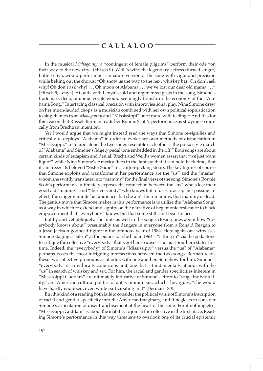In the musical *Mahagonny*, a "contingent of female pilgrims" perform their ode "on their way to the new city" (Hirsch 9). Weill's wife, the legendary actress (turned singer) Lotte Lenya, would perform her signature version of the song with vigor and precision while belting out the chorus: "Oh show us the way to the next whiskey bar! Oh don't ask why! Oh don't ask why! . . . Oh moon of Alabama . . . we've lost our dear old mama . . . " (Hirsch 9; Lenya). At odds with Lenya's cold and regimented gests in the song, Simone's trademark deep, ominous vocals would seemingly transform the economy of the "Alabama Song." Interfacing classical precision with improvisational play, Nina Simone drew on her much-lauded chops as a musician combined with her own political sophistication to sing themes from *Mahagonny* and "Mississippi" once more with feeling.22 And it is for this reason that Russell Berman reads her Ronnie Scott's performance as straying so radically from Brechtian intention.

Yet I would argue that we might instead read the ways that Simone re-signifies and critically re-deploys "Alabama" in order to evoke her own methods of distanciation in "Mississippi." In tempo alone the two songs resemble each other—the polka style march of "Alabama" and Simone's fidgety pedal tone embedded in the riff.<sup>23</sup> Both songs are about certain kinds of escapism and denial. Brecht and Weill's women assert that "we just want liquor" while Nina Simone's America lives in the fantasy that it can hold back time, that it can freeze its beloved "Sister Sadie" in a cotton-picking stoop. The key figures of course that Simone exploits and transforms in her performance are the "us" and the "mama" whom she swiftly translates into "mammy" for the final verse of the song. Simone's Ronnie Scott's performance ultimately exposes the connection between the "us" who's lost their good old "mammy" and "the everybody" who knows but refuses to accept her passing. In effect, the singer reminds her audience that she ain't their mammy, that mammy is dead. The genius move that Simone makes in this performance is to utilize the "Alabama Song" as a way in which to extend and signify on the narrative of hegemonic resistance to black empowerment that "everybody" knows but that some still can't bear to face.

Boldly and yet obliquely, she hints as well in the song's closing lines about how "everybody knows about" presumably the dangers in everyone from a Ronald Reagan to a Jesse Jackson godhead figure in the ominous year of 1984. Here again one witnesses Simone staging a "sit-in" at the piano—as she had in 1964—"sitting in" via the pedal tone to critique the collective "everybody" that's got her so upset—not just Southern states this time. Indeed, the "everybody" of Simone's "Mississippi" versus the "us" of "Alabama" perhaps poses the most intriguing intersections between the two songs. Berman reads these two collective pronouns as at odds with one another. Somehow for him, Simone's "everybody" is a mythically congruous unit, one that is fundamentally at odds with the "us" in search of whiskey and sex. For him, the racial and gender specificities inherent in "Mississippi Goddam" are ultimately indicative of Simone's effort to "stage individuality," an "American cultural politics of anti-Communism, which" he argues, "she would have hardly endorsed, even while participating in it" (Berman 180).

But this kind of a reading both fails to consider the political value of Simone's inscription of racial and gender specificity into the American imaginary, and it neglects to consider Simone's articulation of disenfranchisement at the heart of the song. For if nothing else, "Mississippi Goddam" is about the inability to join in the collective in the first place. Reading Simone's performance in this way threatens to overlook one of its crucial epistemic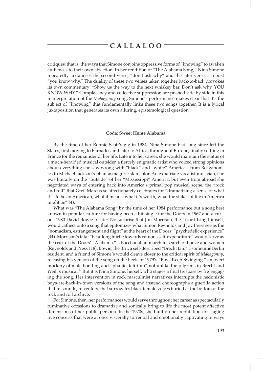critiques, that is, the ways that Simone conjoins oppressive forms of "knowing" to awaken audiences to their own abjection. In her rendition of "The Alabama Song," Nina Simone repeatedly juxtaposes the second verse, "don't ask why" and the later verse, a robust "you know why." The duality of these two verses taken together back-to-back provokes its own commentary: "Show us the way to the next whiskey bar. Don't ask why. YOU KNOW WHY." Complacency and collective suppression are pushed side by side in this reinterpretation of the *Mahagonny* song. Simone's performance makes clear that it's the subject of "knowing" that fundamentally links these two songs together. It is a lyrical juxtaposition that generates its own alluring, epistemological question.

#### **Coda: Sweet Home Alabama**

By the time of her Ronnie Scott's gig in 1984, Nina Simone had long since left the States, first moving to Barbados and later to Africa, throughout Europe, finally settling in France for the remainder of her life. Late into her career, she would maintain the status of a much-heralded musical outsider, a fiercely enigmatic artist who voiced strong opinions about everything she saw wrong with "black" and "white" America—from Reaganomics to Michael Jackson's phantasmagoric skin color. An expatriate vocalist musician, she was literally on the "outside" of her "Mississippi" America, but even from abroad she negotiated ways of entering back into America's primal pop musical scene, the "rock and roll" that Greil Marcus so affectionately celebrates for "dramatizing a sense of what it is to be an American, what it means, what it's worth, what the stakes of life in America might be" (4).

What was "The Alabama Song" by the time of her 1984 performance but a song best known in popular culture for having been a hit single for the Doors in 1967 and a curious 1980 David Bowie b-side? No surprise that Jim Morrison, the Lizard King himself, would cathect onto a song that epitomizes what Simon Reynolds and Joy Press see as the "nomadism, estrangement and flight" at the heart of the Doors' "psychedelic experience" (44). Morrison's fatal "headlong hurtle towards ruinous self-expenditure" would serve as the crux of the Doors' "Alabama," a Bacchanalian march in search of booze and women (Reynolds and Press 118). Bowie, the Brit, a self-described "Brecht fan," a sometime Berlin resident, and a friend of Simone's would cleave closer to the critical spirit of *Mahagonny*, releasing his version of the song on the heels of 1979's "Boys Keep Swinging," an overt mockery of male bonding and "phallic delirium" not unlike the pilgrims in Brecht and Weill's musical.<sup>24</sup> But it is Nina Simone, herself, who stages a final trespass by (re)engaging the song. Her intervention in rock masculinist narratives interrupts the hedonistic boys-are-back-in-town versions of the song and instead choreographs a guerilla action that re-sounds, re-centers, that surrogates black female voices buried at the bottom of the rock and roll archive.

For Simone, then, her performances would serve throughout her career as spectacularly ruminative occasions to dramatize and sonically bring to life the most potent affective dimensions of her public persona. In the 1970s, she built on her reputation for staging live concerts that were at once viscerally torrential and emotionally captivating in ways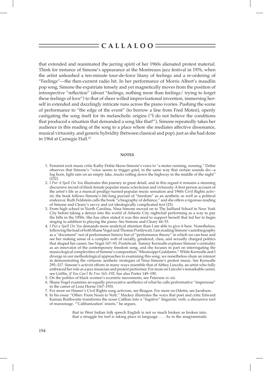that extended and reanimated the jarring spirit of her 1960s alienated protest material. Think for instance of Simone's appearance at the Montreaux jazz festival in 1976, when the artist unleashed a ten-minute tour-de-force litany of feelings and a re-ordering of "Feelings"—the then-current radio hit. In her performance of Morris Albert's maudlin pop song, Simone the expatriate tensely and yet magnetically moves from the position of introspective "reflection" (about "feelings, nothing more than feelings/ trying to forget these feelings of love") to that of sheer willed improvisational invention, immersing herself in extended and dazzlingly intricate runs across the piano ivories. Pushing the scene of performance to "the edge of the event" (to borrow a line from Fred Moten), openly castigating the song itself for its melancholic origins ("I do not believe the conditions that produced a situation that demanded a song like that!"), Simone repeatedly takes her audience in this reading of the song to a place where she mediates affective dissonance, musical virtuosity, and generic hybridity (between classical and pop), just as she had done in 1964 at Carnegie Hall.<sup>25</sup>

#### **NOTES**

- 1. Feminist rock music critic Kathy Dobie likens Simone's voice to "a motor running, running." Dobie observes that Simone's "voice seems to trigger grief, in the same way that certain sounds do—a fog horn, light rain on an empty lake, trucks rolling down the highway in the middle of the night"  $(2\bar{3}2).$
- 2. *I Put A Spell On You* illustrates this journey in great detail, and in this regard it remains a stunning discursive record of black female popular music eclecticism and virtuosity. A first person account of the artist's life as a musical prodigy-turned-popular music sensation and 1960s Civil Rights activist, the book follows Simone's life-long pursuit of "freedom" as an aesthetic as well as a political endeavor. Ruth Feldstein calls the book "a biography of defiance," and she offers a rigorous reading of Simone and Cleary's savvy and yet ideologically complicated text (25).
- 3. From high school in North Carolina, Nina Simone moved on to The Juilliard School in New York City before taking a detour into the world of Atlantic City nightclub performing as a way to pay the bills in the 1950s. She has often stated it was this need to support herself that led her to begin singing in addition to playing the piano. See Simone and Cleary 44–53.
- 4. *I Put a Spell On You* demands more analytical attention than I am able to give it here. Nonetheless, following the lead of both Shane Vogel and Thomas Postlewait, I am reading Simone's autobiography as a "document" not of performance history but of "performance theory" in which we can hear and see her making sense of a complex web of racially, gendered, class, and sexually charged politics that shaped her career. See Vogel 167–93, Postelwait. Tammy Kernodle explores Simone's centrality as an innovator of the contemporary freedom song, and she focuses in part on interrogating the musicological complexities of Simone's composition "Mississippi Goddamn." While Kernodle and I diverge in our methodological approaches to examining this song, we nonetheless share an interest in demonstrating the virtuosic aesthetic strategies of Nina Simone's protest music. See Kernodle 295–317. Simone's activist efforts in many ways resemble that of Abbey Lincoln, an artist who fully embraced her role as a jazz musician and protest performer. For more on Lincoln's remarkable career, see Griffin, If You Can't Be Free 161–192. See also Porter 149–190.
- 5. On the politics of black women's eccentric movements, see Peterson xi–xii.
- 6. Shane Vogel examines an equally provocative aesthetics of what he calls performative "impersona" in the career of Lena Horne (167–193).
- 7. For more on Hamer's Civil Rights song activism, see Reagon. For more on Odetta, see Jacobson.
- 8. In his essay "Other: From Noun to Verb," Mackey illustrates the ways that poet and critic Edward Kamau Brathwaite transforms the noun Caliban into a "fugitive" linguistic verb, a discursive tool of maroonage. "'Calibanization' insists," he argues,

that in West Indian folk speech English is not so much broken as broken into, that a struggle for turf is taking place in language. . . . As in the anagrammatic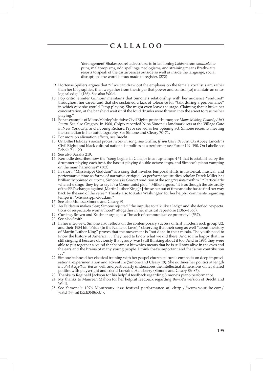'derangement' Shakespeare had recourse to in fashioning *Caliban* from *cannibal*, the puns, malapropisms, odd spellings, neologisms, and straining means Brathwaite resorts to speak of the disturbances outside as well as inside the language, social disruptions the word is thus made to register. (272)

- 9. Hortense Spillers argues that "if we can draw out the emphasis on the female vocalist's art, rather than her biographies, then we gather from the singer that power and control [to] maintain an ontological edge" (166). See also Wald.
- 10. Pop critic Jennifer Gilmour maintains that Simone's relationship with her audience "endured" throughout her career and that she sustained a lack of tolerance for "talk during a performance" in which case she would "stop playing. She might even leave the stage. Claiming that it broke her concentration, at the bar she'd wait until the loud drunks were thrown into the street to resume her playing."
- 11. For an example of Moms Mabley's incisive Civil Rights protest humor, see *Moms Mabley, Comedy Ain't Pretty*. See also Gregory. In 1960, Colpix recorded Nina Simone's landmark sets at the Village Gate in New York City, and a young Richard Pryor served as her opening act. Simone recounts meeting the comedian in her autobiography. See Simone and Cleary 70–71.
- 12. For more on alienation effects, see Brecht.
- 13. On Billie Holiday's social protest work in song, see Griffin, If You Can't Be Free. On Abbey Lincoln's Civil Rights and black cultural nationalist politics as a performer, see Porter 149–190. On Labelle see Echols 71–120.
- 14. See also Baraka 219.
- 15. Kernodle describes how the "song begins in C major in an up-tempo 4/4 that is established by the drummer playing each beat, the bassist playing double octave stops, and Simone's piano vamping on the main harmonies" (303).
- 16. In short, "Mississippi Goddam" is a song that invokes temporal shifts in historical, musical, and performative time as forms of narrative critique. As performance studies scholar Derek Miller has brilliantly pointed out to me, Simone's *In Concert* rendition of the song "resists rhythm." "Particularly when she sings 'they try to say it's a Communist plot,'" Miller argues, "it is as though the absurdity of the FBI's charges against [Martin Luther King  $[r]$ ] throw her out of time and she has to find her way back by the end of the verse." Thanks also to Katia Washington for her helpful comments regarding tempo in "Mississippi Goddam."
- 17. See also Munoz; Simone and Cleary 91.
- 18. As Feldstein makes clear, Simone rejected "the impulse to talk like a lady," and she defied "expecta. tions of respectable womanhood" altogether in her musical repertoire (1365–1366).
- 19. Cursing, Brown and Kushner argue, is a "breach of communicative propriety" (537).
- 20. See also Smith.
- 21. In her interview, Simone also reflects on the contemporary success of Irish modern rock group U2, and their 1984 hit "Pride (In the Name of Love)," observing that their song as well "about the story of Martin Luther King" proves that the movement is "not dead in their minds. The youth need to know the history of America . . . They need to know what we did there. And so I'm happy that I'm still singing it because obviously that group [was] still thinking about it too. And in 1984 they were able to put together a sound that became a hit which means that he is still now alive in the eyes and the ears and the brains of many young people. I think that's important and that's my contribution . . ."
- 22. Simone balanced her classical training with her gospel church culture's emphasis on deep improvisational experimentation and adventure (Simone and Cleary 19). She outlines her politics at length in *I Put A Spell on You* as well, and particularly underscores the intellectual dimensions of her shared politics with playwright and friend Lorraine Hansberry (Simone and Cleary 86–87).
- 23. Thanks to Reginald Jackson for his helpful feedback regarding Simone's piano performance.
- 24. My thanks to Maureen Mahon for her helpful feedback regarding Bowie's version of Brecht and Weill.
- 25. See Simone's 1976 Montreaux jazz festival performance at <http://www.youtube.com/ watch?v=mH5ZE3N8cxU>.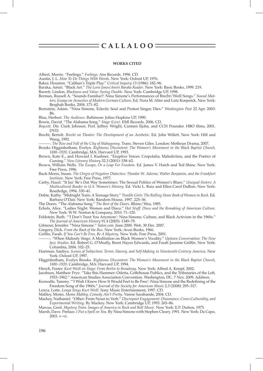#### **WORKS CITED**

Albert, Morris. "Feelings." *Feelings*. Ans Records. 1996. CD.

- Austin, J. L. *How To Do Things With Words*. New York: Oxford UP, 1976.
- Baker, Houston. "Caliban's Triple Play." *Critical Inquiry* 13 (1986): 182–96.
- Baraka, Amiri. "Black Art." *The Leroi Jones/Amiri Baraka Reader*. New York: Basic Books, 1999. 219.

Barrett, Lindon. *Blackness and Value: Seeing Double*. New York: Cambridge UP, 1998.

- Berman, Russell A. "Sounds Familiar?: Nina Simone's Performances of Brecht/Weill Songs." *Sound Matters: Essays on Acoustics of Modern German Culture*. Ed. Nora M. Alter and Lutz Koepnick. New York: Berghah Books, 2004. 171–82.
- Bernstein, Adam. "Nina Simone, Eclectic Soul and Protest Singer, Dies." *Washington Post* 22 Apr. 2003: B6.

Blau, Herbert. *The Audience*. Baltimore: Johns Hopkins UP, 1990.

- Bowie, David. "The Alabama Song." *Stage (Live)*. EMI Records. 2006. CD.
- Boycott. Dir. Clark Johnson. Perf. Jeffrey Wright, Carmen Ejoba, and CCH Pounder. HBO films, 2001. DVD.
- Brecht, Bertolt. *Brecht on Theatre: The Development of an Aesthetic*. Ed. John Willett. New York: Hill and Wang, 1992.
	- ———. *The Rise and Fall of the City of Mahagonny*. Trans. Steven Giles. London: Metheun Drama, 2007.
- Brooks Higginbotham, Evelyn. *Righteous Discontent: The Women's Movement in the Black Baptist Church, 1880–1920*. Cambridge, MA: Harvard UP, 1993.
- Brown, Kate E., and Howard I. Kushner. "Eruptive Voices: Cropolalia, Malediction, and the Poetics of Cursing." *New Literary History* 32.3 (2001): 538–62.
- Brown, William Wells. *The Escape, Or a Leap For Freedom*. Ed. James V. Hatch and Ted Shine. New York: Free Press, 1996.
- Buck-Morss, Susan. *The Origin of Negative Dialectics: Theodor W. Adorno, Walter Benjamin, and the Frankfurt Institute*. New York: Free Press, 1977.
- Carby, Hazel. "It Jus' Be's Dat Way Sometimes: The Sexual Politics of Women's Blues." *Unequal Sisters: A Multicultural Reader in U.S. Women's History*. Ed. Vicki L. Ruiz and Ellen Carol DuBois. New York: Routledge, 1994. 330–41.
- Dobie, Kathy. "Midnight Train: A Teenage Story." *Trouble Girls: The Rolling Stone Book of Women in Rock*. Ed. Barbara O'Dair. New York: Random House, 1997. 225–36.
- The Doors. "The Alabama Song." *The Best of the Doors*. Rhino/Wea, 1985.
- Echols, Alice. "Ladies Night: Women and Disco." *Hot Stuff: Disco and the Remaking of American Culture*. New York: W.W. Norton & Company, 2010. 71–120.
- Feldstein, Ruth. "'I Don't Trust You Anymore': Nina Simone, Culture, and Black Activism in the 1960s." *The Journal of American History* 91.4 (2005): 1349–79.
- Gilmour, Jennifer. "Nina Simone." *Salon.com*. June 2000. Web. 30 Dec. 2007.

Gregory, Dick. *From the Back of the Bus*. New York: Avon Books, 1966.

Griffin, Farah. If You Can't Be Free, Be A Mystery. New York: Free Press, 2001.

———. "When Malindy Sings: A Meditation on Black Women's Vocality." *Uptown Conversation: The New Jazz Studies*. Ed. Robert G. O'Meally, Brent Hayes Edwards, and Farah Jasmine Griffin. New York: Columbia, 2004. 102–25.

Hartman, Saidiya. *Scenes of Subjection: Terror, Slavery, and Self-Making in Nineteenth Century America*. New York: Oxford UP, 1997.

- Higginbotham, Evelyn Brooks. *Righteous Discontent: The Women's Movement in the Black Baptist Church, 1880–1920*. Cambridge, MA: Harvard UP, 1994.
- Hirsch, Foster. *Kurt Weill on Stage: From Berlin to Broadway*. New York: Alfred A. Knopf, 2002.
- Jacobson, Matthew Frye. "Take this Hammer: Odetta, Coffehouse Publics, and the Tributaries of the Left, 1953–1962." American Studies Association Convention. Washington, DC. 7 Nov. 2009. Address.
- Kernodle, Tammy. "'I Wish I Knew How It Would Feel to Be Free': Nina Simone and the Redefining of the Freedom Song of the 1960s." *Journal of the Society for American Music* 2.3 (2008): 295–317.
- Lenya, Lotte. *Lenya Sings Kurt Weill*. Sony Music Entertainment, 1997. CD.
- Mabley, Moms. *Moms Mabley, Comedy Ain't Pretty*. Varese Sarabande, 2004. CD.
- Mackey, Nathaniel. "Other: From Noun to Verb." *Discrepant Engagement: Dissonance, Cross-Culturality, and Experimental Writing*. By Mackey. New York: Cambridge UP, 1993. 265–86.
- Marcus, Greil. *Mystery Train: Images of America in Rock and Roll Music*. New York: E.P. Dutton, 1975.
- Marsh, Dave. Preface. *I Put a Spell on You*. By Nina Simone with Stephen Cleary. 1991. New York: Da Capo, 2003. v–vi.